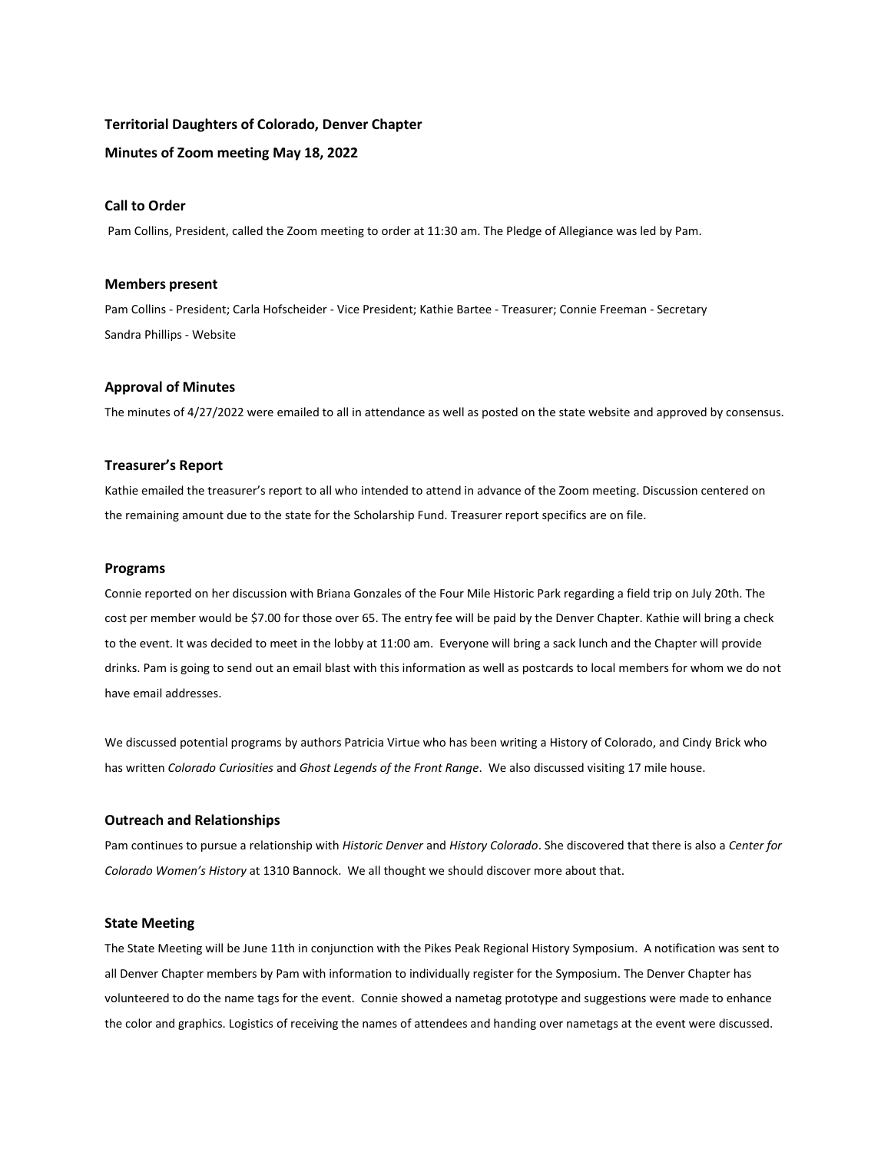## **Territorial Daughters of Colorado, Denver Chapter**

## **Minutes of Zoom meeting May 18, 2022**

## **Call to Order**

Pam Collins, President, called the Zoom meeting to order at 11:30 am. The Pledge of Allegiance was led by Pam.

## **Members present**

Pam Collins - President; Carla Hofscheider - Vice President; Kathie Bartee - Treasurer; Connie Freeman - Secretary Sandra Phillips - Website

## **Approval of Minutes**

The minutes of 4/27/2022 were emailed to all in attendance as well as posted on the state website and approved by consensus.

## **Treasurer's Report**

Kathie emailed the treasurer's report to all who intended to attend in advance of the Zoom meeting. Discussion centered on the remaining amount due to the state for the Scholarship Fund. Treasurer report specifics are on file.

#### **Programs**

Connie reported on her discussion with Briana Gonzales of the Four Mile Historic Park regarding a field trip on July 20th. The cost per member would be \$7.00 for those over 65. The entry fee will be paid by the Denver Chapter. Kathie will bring a check to the event. It was decided to meet in the lobby at 11:00 am. Everyone will bring a sack lunch and the Chapter will provide drinks. Pam is going to send out an email blast with this information as well as postcards to local members for whom we do not have email addresses.

We discussed potential programs by authors Patricia Virtue who has been writing a History of Colorado, and Cindy Brick who has written *Colorado Curiosities* and *Ghost Legends of the Front Range*. We also discussed visiting 17 mile house.

## **Outreach and Relationships**

Pam continues to pursue a relationship with *Historic Denver* and *History Colorado*. She discovered that there is also a *Center for Colorado Women's History* at 1310 Bannock. We all thought we should discover more about that.

#### **State Meeting**

The State Meeting will be June 11th in conjunction with the Pikes Peak Regional History Symposium. A notification was sent to all Denver Chapter members by Pam with information to individually register for the Symposium. The Denver Chapter has volunteered to do the name tags for the event. Connie showed a nametag prototype and suggestions were made to enhance the color and graphics. Logistics of receiving the names of attendees and handing over nametags at the event were discussed.